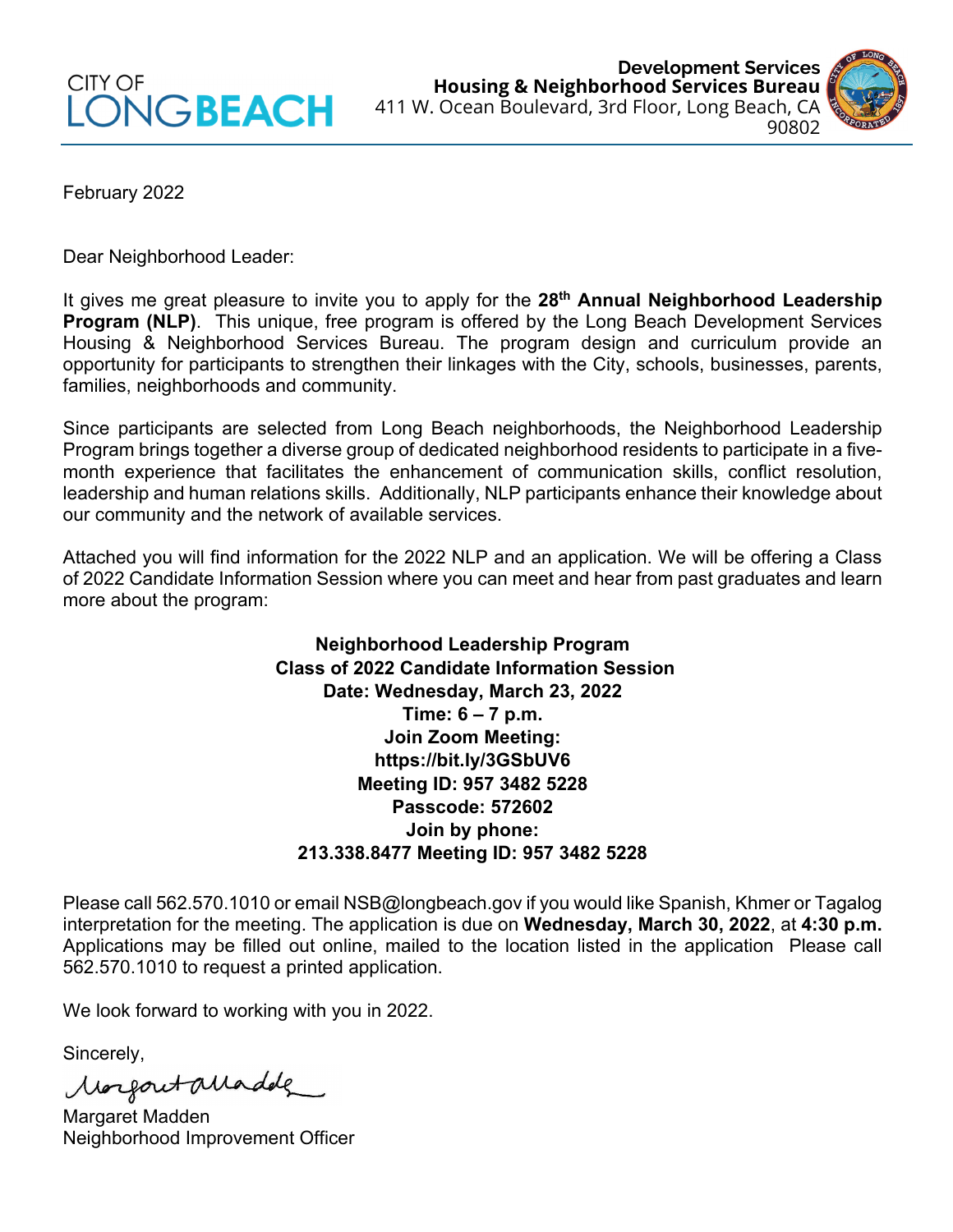# CITY OF ONGBEACH

February 2022

Dear Neighborhood Leader:

It gives me great pleasure to invite you to apply for the **28th Annual Neighborhood Leadership Program (NLP).** This unique, free program is offered by the Long Beach Development Services Housing & Neighborhood Services Bureau. The program design and curriculum provide an opportunity for participants to strengthen their linkages with the City, schools, businesses, parents, families, neighborhoods and community.

Since participants are selected from Long Beach neighborhoods, the Neighborhood Leadership Program brings together a diverse group of dedicated neighborhood residents to participate in a fivemonth experience that facilitates the enhancement of communication skills, conflict resolution, leadership and human relations skills. Additionally, NLP participants enhance their knowledge about our community and the network of available services.

Attached you will find information for the 2022 NLP and an application. We will be offering a Class of 2022 Candidate Information Session where you can meet and hear from past graduates and learn more about the program:

> **Neighborhood Leadership Program Class of 2022 Candidate Information Session Date: Wednesday, March 23, 2022 Time: 6 – 7 p.m. Join Zoom Meeting: https://bit.ly/3GSbUV6 Meeting ID: 957 3482 5228 Passcode: 572602 Join by phone: 213.338.8477 Meeting ID: 957 3482 5228**

Please call 562.570.1010 or email NSB@longbeach.gov if you would like Spanish, Khmer or Tagalog interpretation for the meeting. The application is due on **Wednesday, March 30, 2022**, at **4:30 p.m.**  Applications may be filled out online, mailed to the location listed in the application Please call 562.570.1010 to request a printed application.

We look forward to working with you in 2022.

Sincerely,

Morgontalladde

Margaret Madden Neighborhood Improvement Officer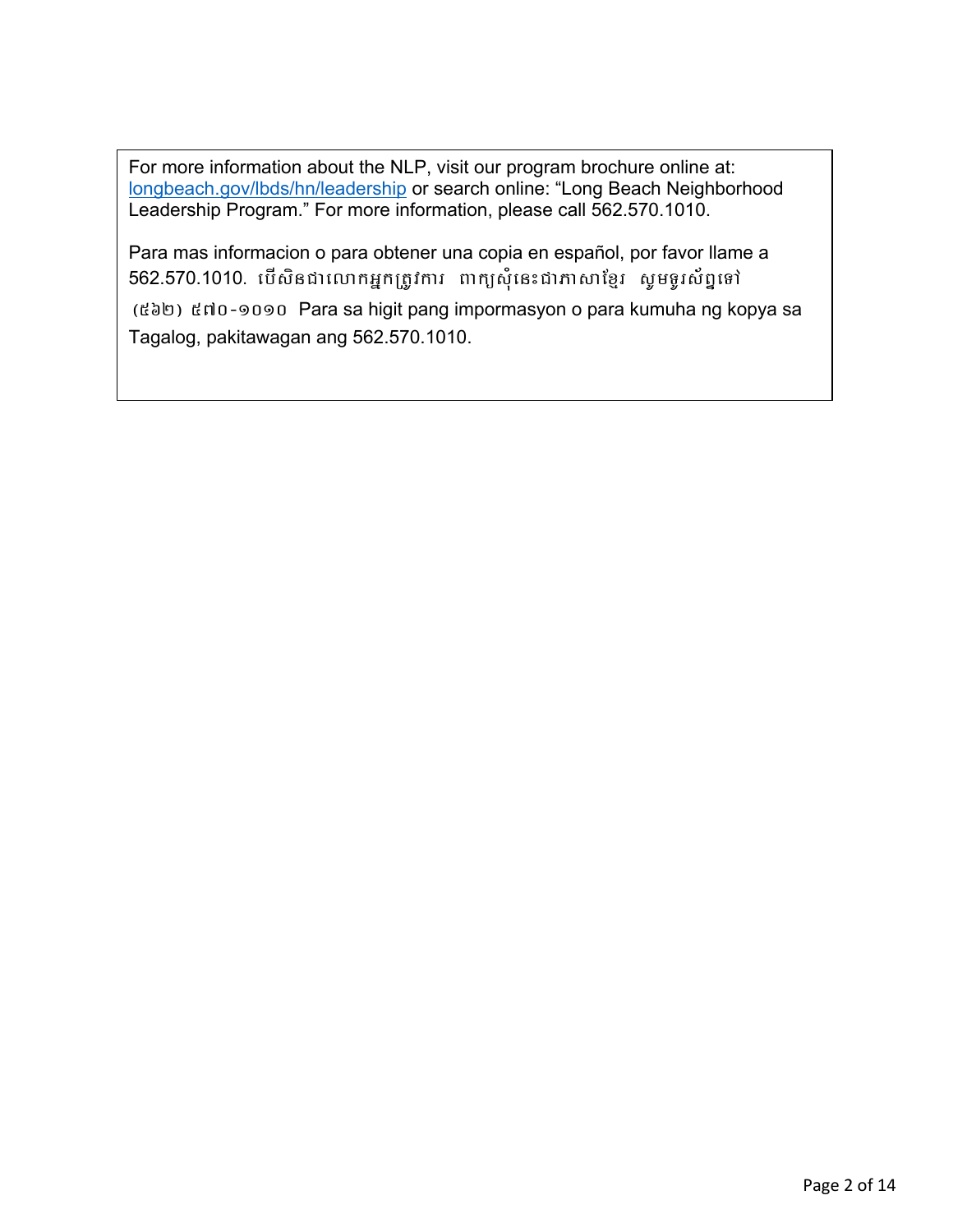For more information about the NLP, visit our program brochure online at: longbeach.gov/lbds/hn/leadership or search online: "Long Beach Neighborhood Leadership Program." For more information, please call 562.570.1010.

Para mas informacion o para obtener una copia en español, por favor llame a 562.570.1010. បើសិនជាលោកអ្នកត្រូវការ ពាក្យសុំនេះជាភាសាខ្មែរ ស្ងមទូរស័ព្ទទៅ

(៥៦២) ៥៧០-១០១០ Para sa higit pang impormasyon o para kumuha ng kopya sa Tagalog, pakitawagan ang 562.570.1010.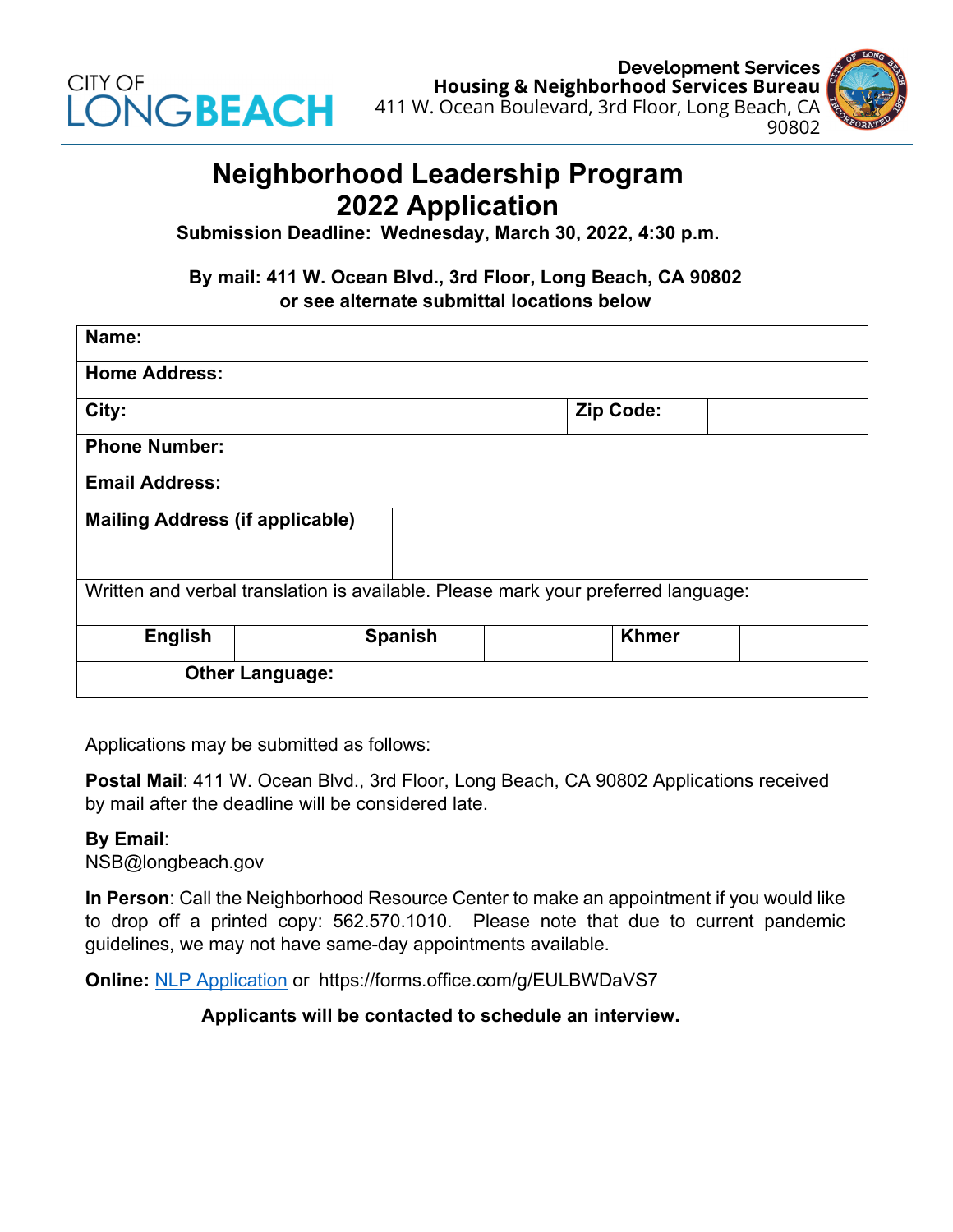



# **Neighborhood Leadership Program 2022 Application**

**Submission Deadline: Wednesday, March 30, 2022, 4:30 p.m.**

**By mail: 411 W. Ocean Blvd., 3rd Floor, Long Beach, CA 90802 or see alternate submittal locations below** 

| Name:                                                                             |                        |                |  |              |  |
|-----------------------------------------------------------------------------------|------------------------|----------------|--|--------------|--|
| <b>Home Address:</b>                                                              |                        |                |  |              |  |
| City:                                                                             |                        |                |  | Zip Code:    |  |
| <b>Phone Number:</b>                                                              |                        |                |  |              |  |
| <b>Email Address:</b>                                                             |                        |                |  |              |  |
| <b>Mailing Address (if applicable)</b>                                            |                        |                |  |              |  |
| Written and verbal translation is available. Please mark your preferred language: |                        |                |  |              |  |
| <b>English</b>                                                                    |                        | <b>Spanish</b> |  | <b>Khmer</b> |  |
|                                                                                   | <b>Other Language:</b> |                |  |              |  |

Applications may be submitted as follows:

**Postal Mail**: 411 W. Ocean Blvd., 3rd Floor, Long Beach, CA 90802 Applications received by mail after the deadline will be considered late.

### **By Email**:

NSB@longbeach.gov

**In Person**: Call the Neighborhood Resource Center to make an appointment if you would like to drop off a printed copy: 562.570.1010. Please note that due to current pandemic guidelines, we may not have same-day appointments available.

**Online:** NLP Application or https://forms.office.com/g/EULBWDaVS7

**Applicants will be contacted to schedule an interview.**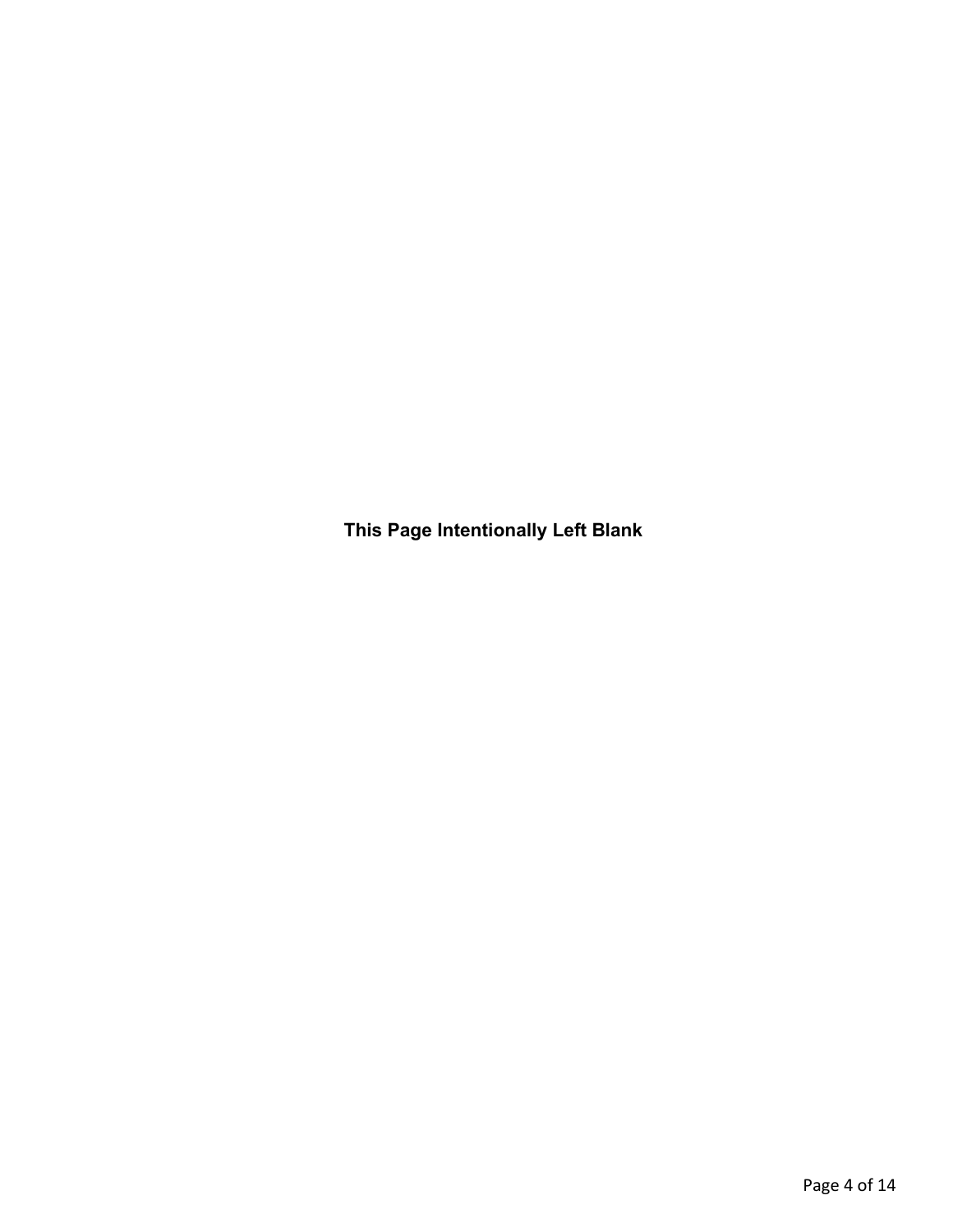**This Page Intentionally Left Blank**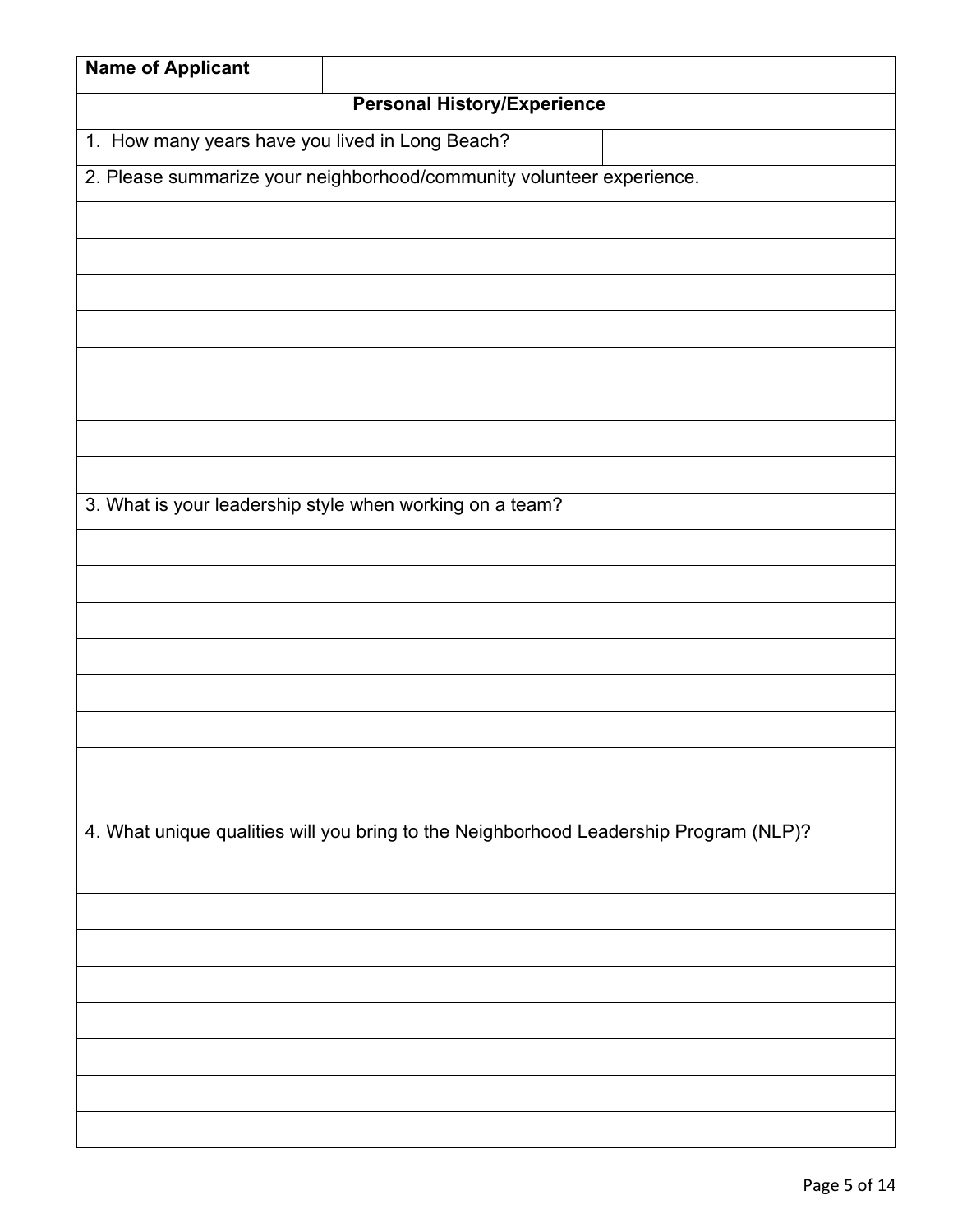| <b>Name of Applicant</b>                        |                                                                                       |  |  |
|-------------------------------------------------|---------------------------------------------------------------------------------------|--|--|
|                                                 | <b>Personal History/Experience</b>                                                    |  |  |
| 1. How many years have you lived in Long Beach? |                                                                                       |  |  |
|                                                 | 2. Please summarize your neighborhood/community volunteer experience.                 |  |  |
|                                                 |                                                                                       |  |  |
|                                                 |                                                                                       |  |  |
|                                                 |                                                                                       |  |  |
|                                                 |                                                                                       |  |  |
|                                                 |                                                                                       |  |  |
|                                                 |                                                                                       |  |  |
|                                                 |                                                                                       |  |  |
|                                                 |                                                                                       |  |  |
|                                                 | 3. What is your leadership style when working on a team?                              |  |  |
|                                                 |                                                                                       |  |  |
|                                                 |                                                                                       |  |  |
|                                                 |                                                                                       |  |  |
|                                                 |                                                                                       |  |  |
|                                                 |                                                                                       |  |  |
|                                                 |                                                                                       |  |  |
|                                                 |                                                                                       |  |  |
|                                                 |                                                                                       |  |  |
|                                                 | 4. What unique qualities will you bring to the Neighborhood Leadership Program (NLP)? |  |  |
|                                                 |                                                                                       |  |  |
|                                                 |                                                                                       |  |  |
|                                                 |                                                                                       |  |  |
|                                                 |                                                                                       |  |  |
|                                                 |                                                                                       |  |  |
|                                                 |                                                                                       |  |  |
|                                                 |                                                                                       |  |  |
|                                                 |                                                                                       |  |  |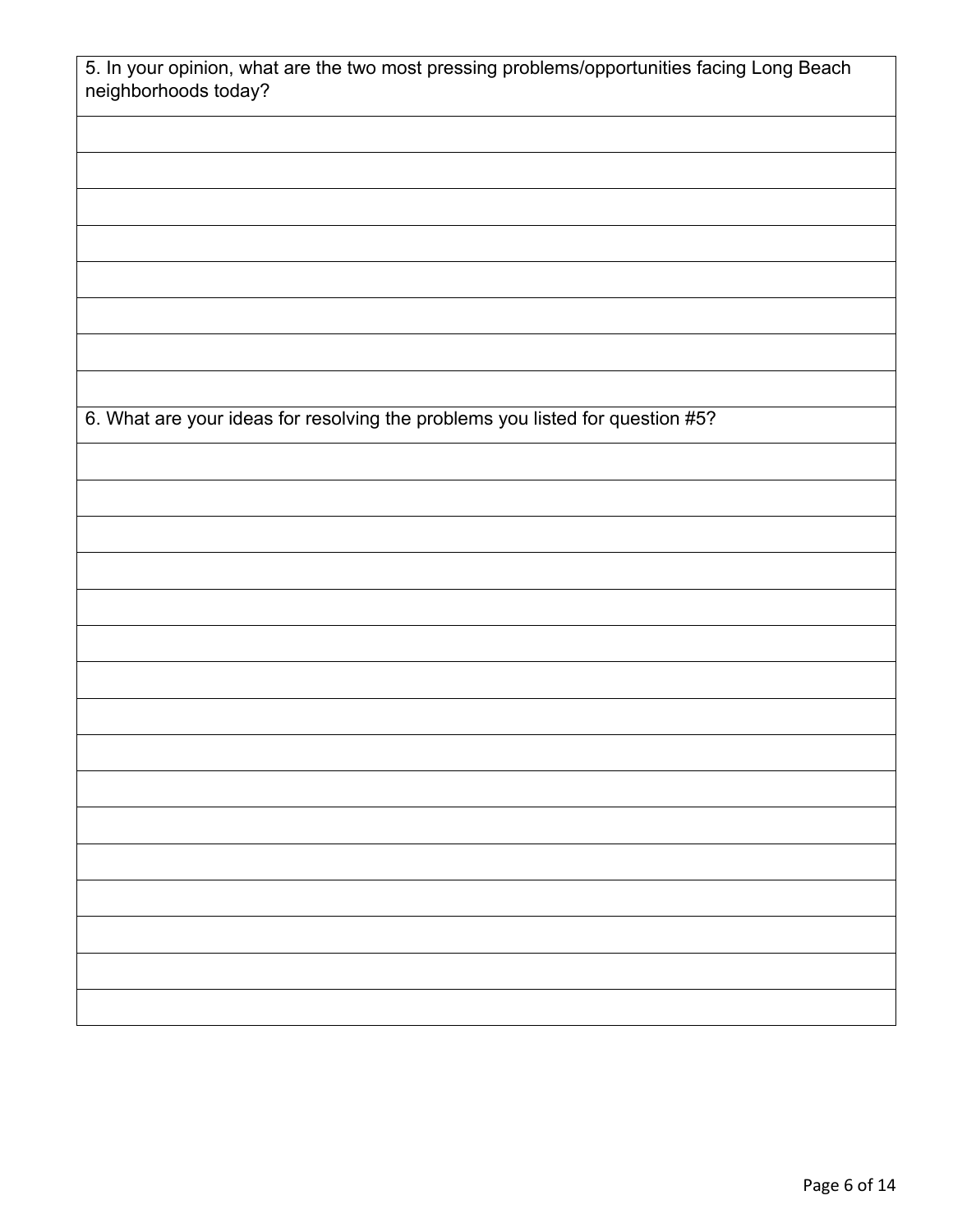| 5. In your opinion, what are the two most pressing problems/opportunities facing Long Beach<br>neighborhoods today? |  |
|---------------------------------------------------------------------------------------------------------------------|--|
|                                                                                                                     |  |
|                                                                                                                     |  |
|                                                                                                                     |  |
|                                                                                                                     |  |
|                                                                                                                     |  |
|                                                                                                                     |  |
|                                                                                                                     |  |
|                                                                                                                     |  |
|                                                                                                                     |  |
| 6. What are your ideas for resolving the problems you listed for question #5?                                       |  |
|                                                                                                                     |  |
|                                                                                                                     |  |
|                                                                                                                     |  |
|                                                                                                                     |  |
|                                                                                                                     |  |
|                                                                                                                     |  |
|                                                                                                                     |  |
|                                                                                                                     |  |
|                                                                                                                     |  |
|                                                                                                                     |  |
|                                                                                                                     |  |
|                                                                                                                     |  |
|                                                                                                                     |  |
|                                                                                                                     |  |
|                                                                                                                     |  |
|                                                                                                                     |  |
|                                                                                                                     |  |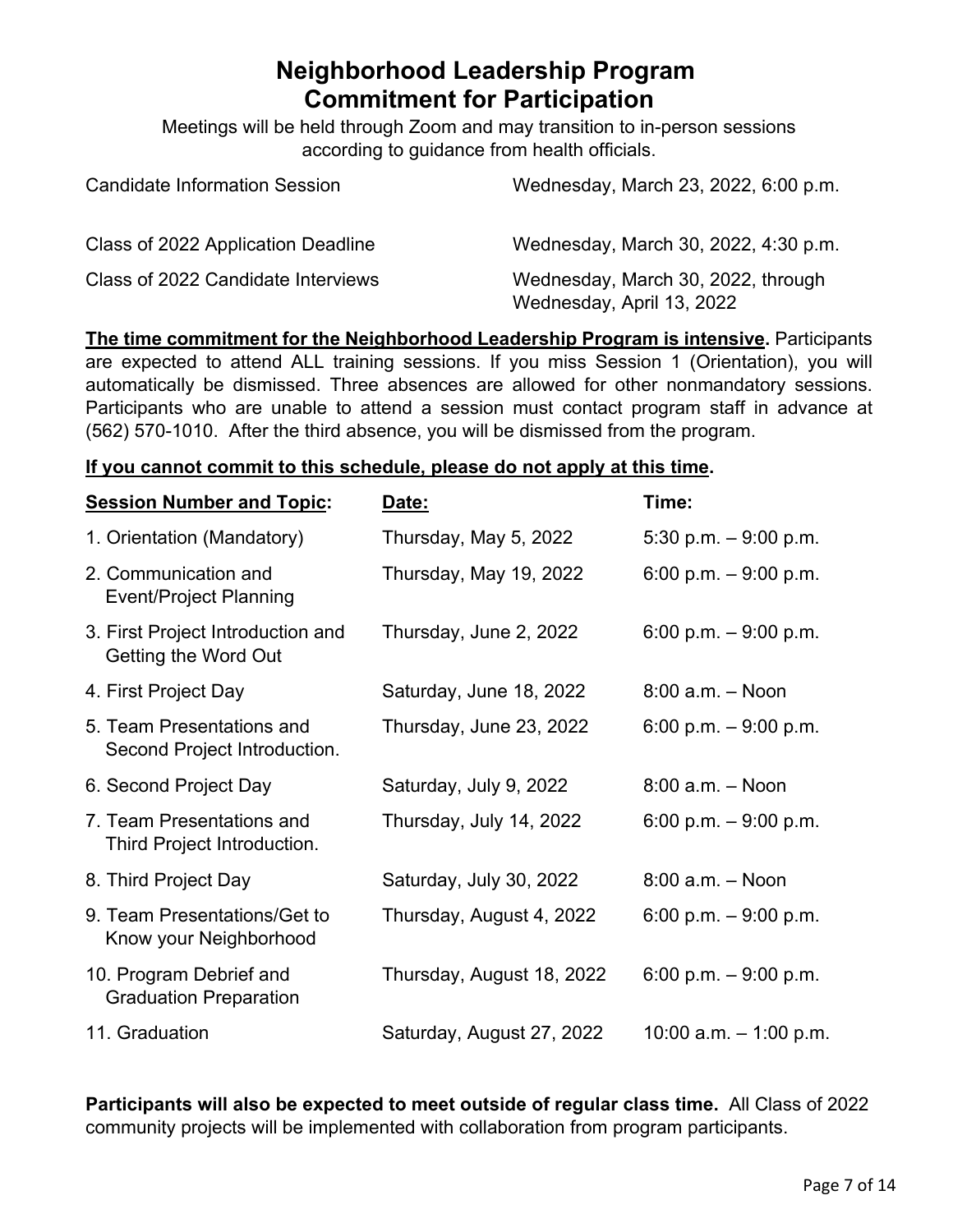## **Neighborhood Leadership Program Commitment for Participation**

Meetings will be held through Zoom and may transition to in-person sessions according to guidance from health officials.

| <b>Candidate Information Session</b> | Wednesday, March 23, 2022, 6:00 p.m.                            |
|--------------------------------------|-----------------------------------------------------------------|
| Class of 2022 Application Deadline   | Wednesday, March 30, 2022, 4:30 p.m.                            |
| Class of 2022 Candidate Interviews   | Wednesday, March 30, 2022, through<br>Wednesday, April 13, 2022 |

**The time commitment for the Neighborhood Leadership Program is intensive.** Participants are expected to attend ALL training sessions. If you miss Session 1 (Orientation), you will automatically be dismissed. Three absences are allowed for other nonmandatory sessions. Participants who are unable to attend a session must contact program staff in advance at (562) 570-1010. After the third absence, you will be dismissed from the program.

#### **If you cannot commit to this schedule, please do not apply at this time.**

| <b>Session Number and Topic:</b>                          | Date:                     | Time:                    |  |
|-----------------------------------------------------------|---------------------------|--------------------------|--|
| 1. Orientation (Mandatory)                                | Thursday, May 5, 2022     | 5:30 p.m. $-9:00$ p.m.   |  |
| 2. Communication and<br><b>Event/Project Planning</b>     | Thursday, May 19, 2022    | 6:00 p.m. $-9:00$ p.m.   |  |
| 3. First Project Introduction and<br>Getting the Word Out | Thursday, June 2, 2022    | 6:00 p.m. $-9:00$ p.m.   |  |
| 4. First Project Day                                      | Saturday, June 18, 2022   | $8:00$ a.m. $-$ Noon     |  |
| 5. Team Presentations and<br>Second Project Introduction. | Thursday, June 23, 2022   | 6:00 p.m. $-9:00$ p.m.   |  |
| 6. Second Project Day                                     | Saturday, July 9, 2022    | $8:00$ a.m. $-$ Noon     |  |
| 7. Team Presentations and<br>Third Project Introduction.  | Thursday, July 14, 2022   | 6:00 p.m. $-9:00$ p.m.   |  |
| 8. Third Project Day                                      | Saturday, July 30, 2022   | $8:00$ a.m. $-$ Noon     |  |
| 9. Team Presentations/Get to<br>Know your Neighborhood    | Thursday, August 4, 2022  | 6:00 p.m. $-9:00$ p.m.   |  |
| 10. Program Debrief and<br><b>Graduation Preparation</b>  | Thursday, August 18, 2022 | 6:00 p.m. $-9:00$ p.m.   |  |
| 11. Graduation                                            | Saturday, August 27, 2022 | 10:00 a.m. $-$ 1:00 p.m. |  |

**Participants will also be expected to meet outside of regular class time.** All Class of 2022 community projects will be implemented with collaboration from program participants.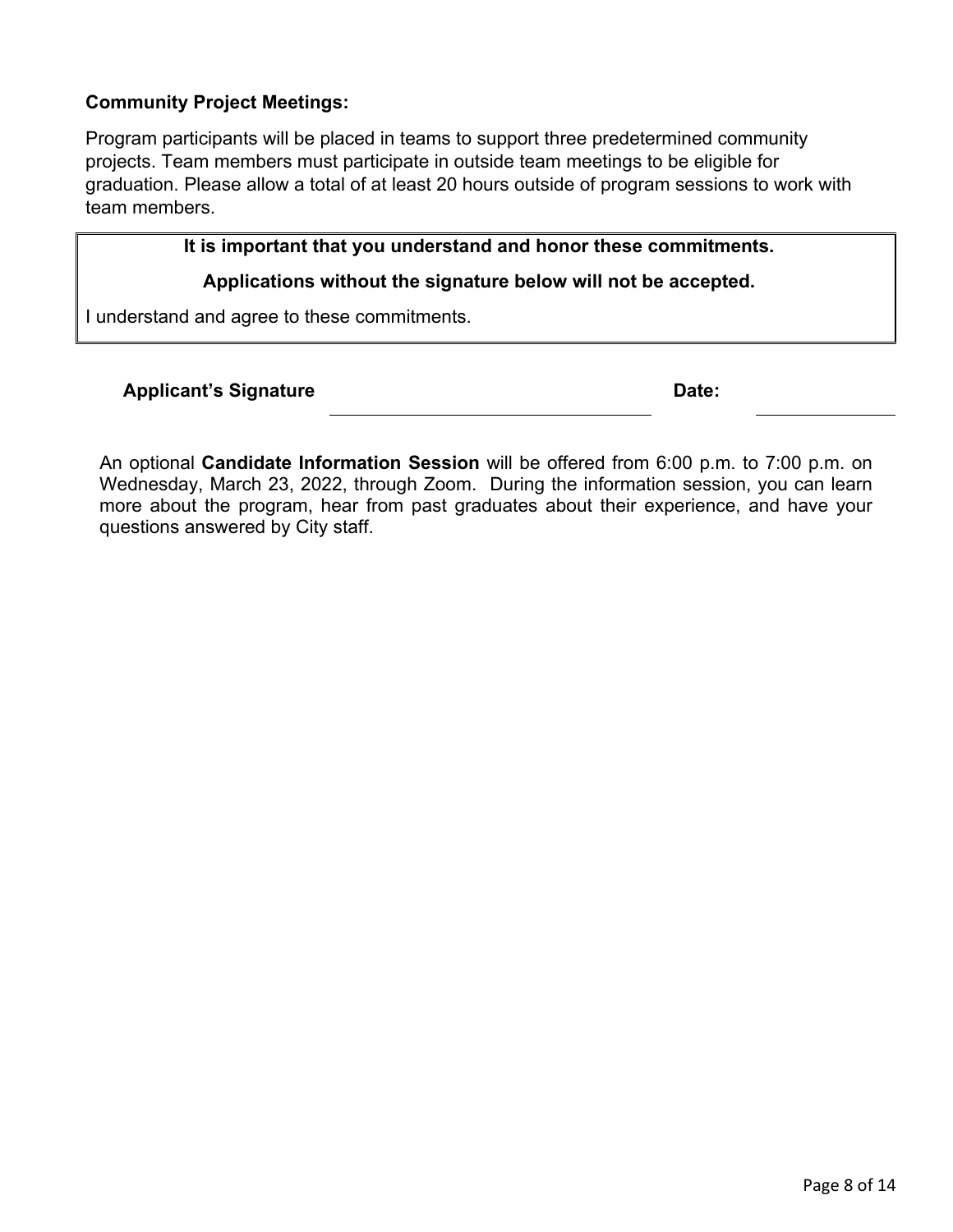### **Community Project Meetings:**

Program participants will be placed in teams to support three predetermined community projects. Team members must participate in outside team meetings to be eligible for graduation. Please allow a total of at least 20 hours outside of program sessions to work with team members.

#### **It is important that you understand and honor these commitments.**

#### **Applications without the signature below will not be accepted.**

I understand and agree to these commitments.

**Applicant's Signature** 

An optional **Candidate Information Session** will be offered from 6:00 p.m. to 7:00 p.m. on Wednesday, March 23, 2022, through Zoom. During the information session, you can learn more about the program, hear from past graduates about their experience, and have your questions answered by City staff.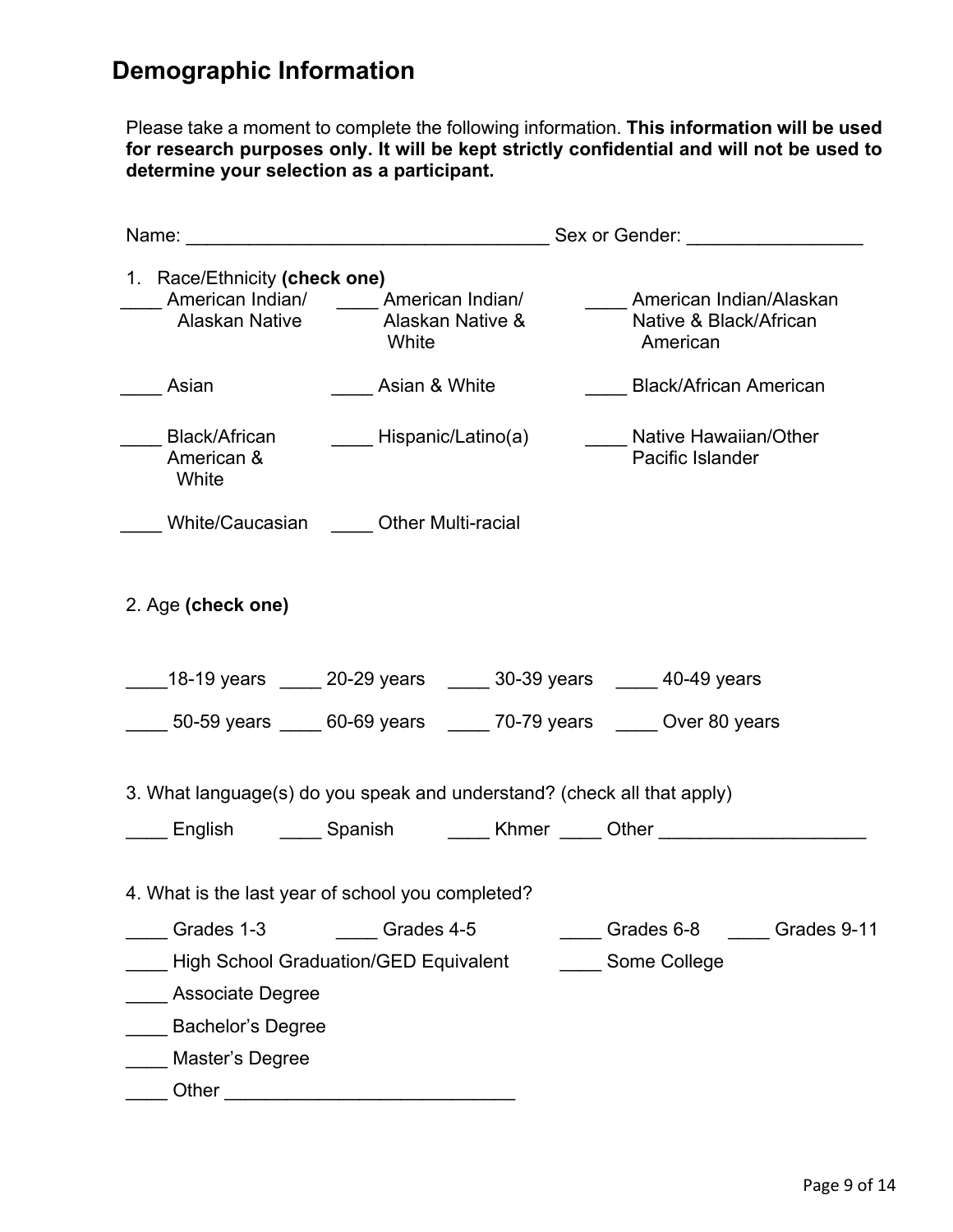# **Demographic Information**

Please take a moment to complete the following information. **This information will be used for research purposes only. It will be kept strictly confidential and will not be used to determine your selection as a participant.**

| 1. Race/Ethnicity (check one)<br>Alaskan Native | ___ American Indian/  ____ American Indian/<br>Alaskan Native &<br>White | American Indian/Alaskan<br>Native & Black/African<br>American                    |  |  |
|-------------------------------------------------|--------------------------------------------------------------------------|----------------------------------------------------------------------------------|--|--|
| Asian                                           | Asian & White                                                            | Black/African American                                                           |  |  |
| Black/African<br>American &<br>White            | Hispanic/Latino(a)                                                       | Native Hawaiian/Other<br>Pacific Islander                                        |  |  |
|                                                 | White/Caucasian   Other Multi-racial                                     |                                                                                  |  |  |
| 2. Age (check one)                              |                                                                          |                                                                                  |  |  |
|                                                 | ___18-19 years _____ 20-29 years _____ 30-39 years ____ 40-49 years      |                                                                                  |  |  |
|                                                 |                                                                          | ____ 50-59 years _____ 60-69 years _____ 70-79 years _____ Over 80 years         |  |  |
|                                                 | 3. What language(s) do you speak and understand? (check all that apply)  |                                                                                  |  |  |
|                                                 |                                                                          | ____ English   ____ Spanish   ____ Khmer ____ Other ____________________________ |  |  |
|                                                 | 4. What is the last year of school you completed?                        |                                                                                  |  |  |
| Grades 1-3                                      | Grades 4-5                                                               | Grades 9-11<br>Grades 6-8                                                        |  |  |
|                                                 | <b>High School Graduation/GED Equivalent</b>                             | Some College                                                                     |  |  |
| <b>Associate Degree</b>                         |                                                                          |                                                                                  |  |  |
| <b>Bachelor's Degree</b>                        |                                                                          |                                                                                  |  |  |
| Master's Degree                                 |                                                                          |                                                                                  |  |  |
| Other                                           | <u> 1980 - Jan Barbarat, manala</u>                                      |                                                                                  |  |  |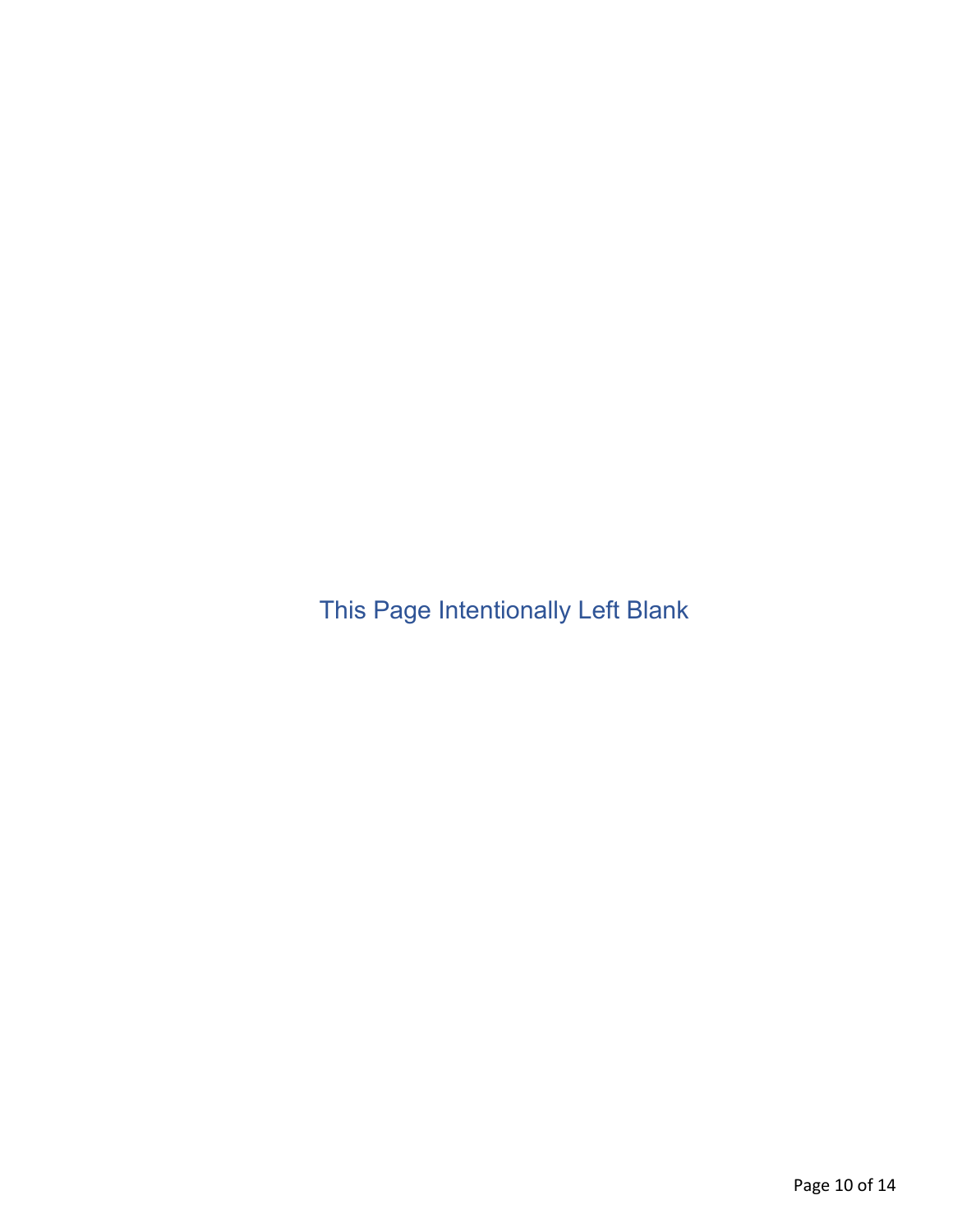This Page Intentionally Left Blank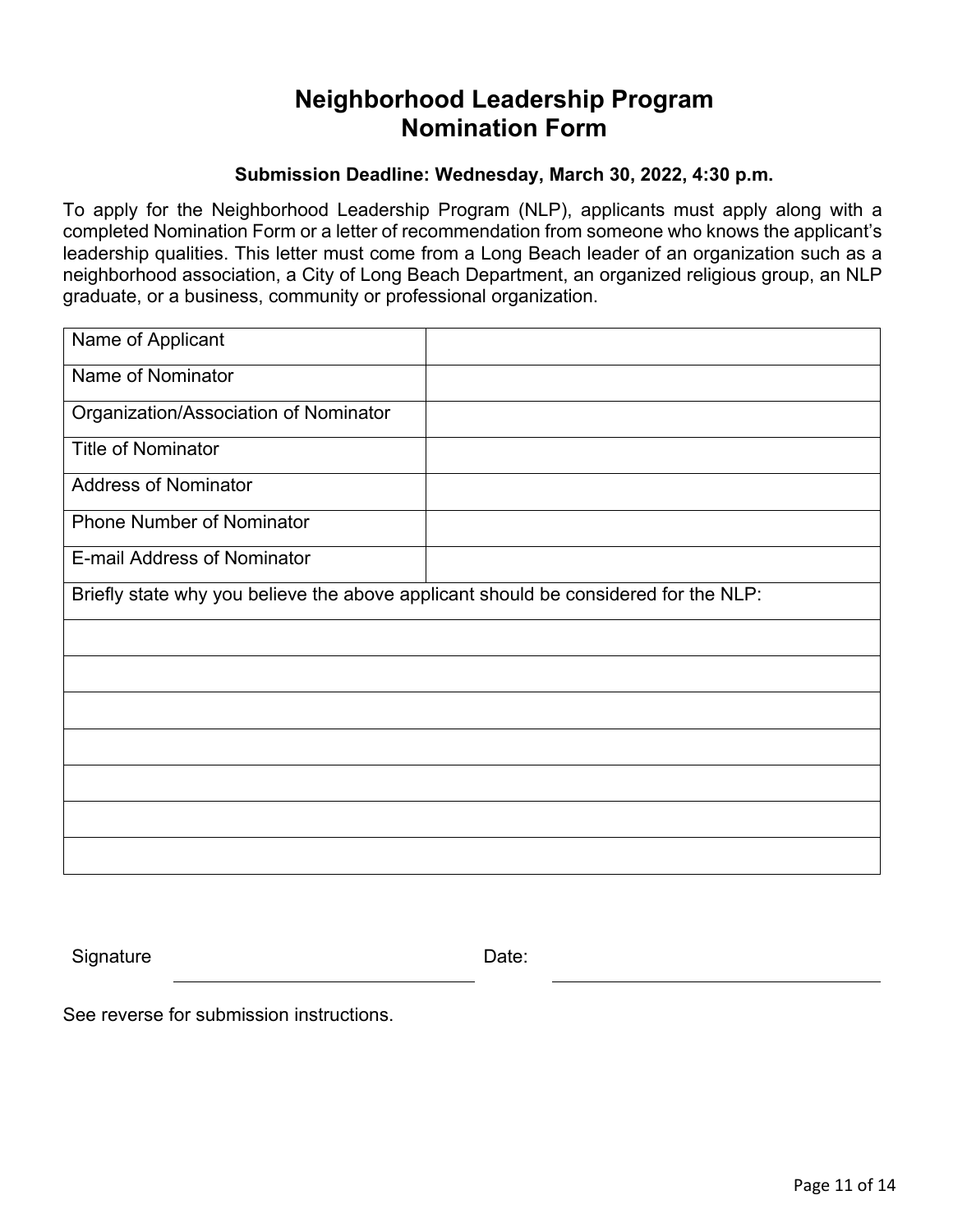### **Neighborhood Leadership Program Nomination Form**

#### **Submission Deadline: Wednesday, March 30, 2022, 4:30 p.m.**

To apply for the Neighborhood Leadership Program (NLP), applicants must apply along with a completed Nomination Form or a letter of recommendation from someone who knows the applicant's leadership qualities. This letter must come from a Long Beach leader of an organization such as a neighborhood association, a City of Long Beach Department, an organized religious group, an NLP graduate, or a business, community or professional organization.

| Name of Applicant                                                                   |  |
|-------------------------------------------------------------------------------------|--|
| Name of Nominator                                                                   |  |
| Organization/Association of Nominator                                               |  |
| <b>Title of Nominator</b>                                                           |  |
| <b>Address of Nominator</b>                                                         |  |
| <b>Phone Number of Nominator</b>                                                    |  |
| <b>E-mail Address of Nominator</b>                                                  |  |
| Briefly state why you believe the above applicant should be considered for the NLP: |  |
|                                                                                     |  |
|                                                                                     |  |
|                                                                                     |  |
|                                                                                     |  |
|                                                                                     |  |
|                                                                                     |  |
|                                                                                     |  |

**Signature** 

Date:

See reverse for submission instructions.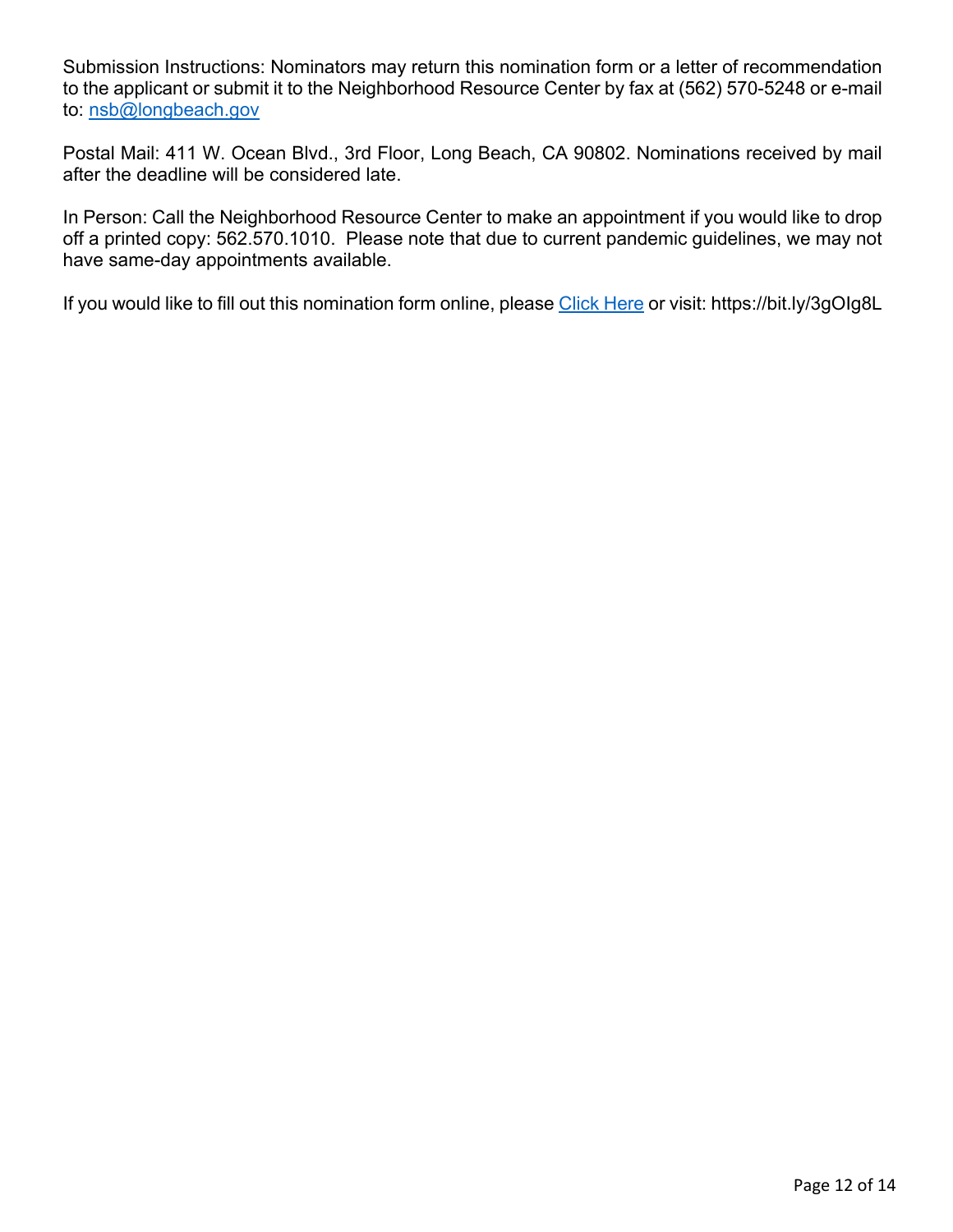Submission Instructions: Nominators may return this nomination form or a letter of recommendation to the applicant or submit it to the Neighborhood Resource Center by fax at (562) 570-5248 or e-mail to: nsb@longbeach.gov

Postal Mail: 411 W. Ocean Blvd., 3rd Floor, Long Beach, CA 90802. Nominations received by mail after the deadline will be considered late.

In Person: Call the Neighborhood Resource Center to make an appointment if you would like to drop off a printed copy: 562.570.1010. Please note that due to current pandemic guidelines, we may not have same-day appointments available.

If you would like to fill out this nomination form online, please Click Here or visit: https://bit.ly/3gOIg8L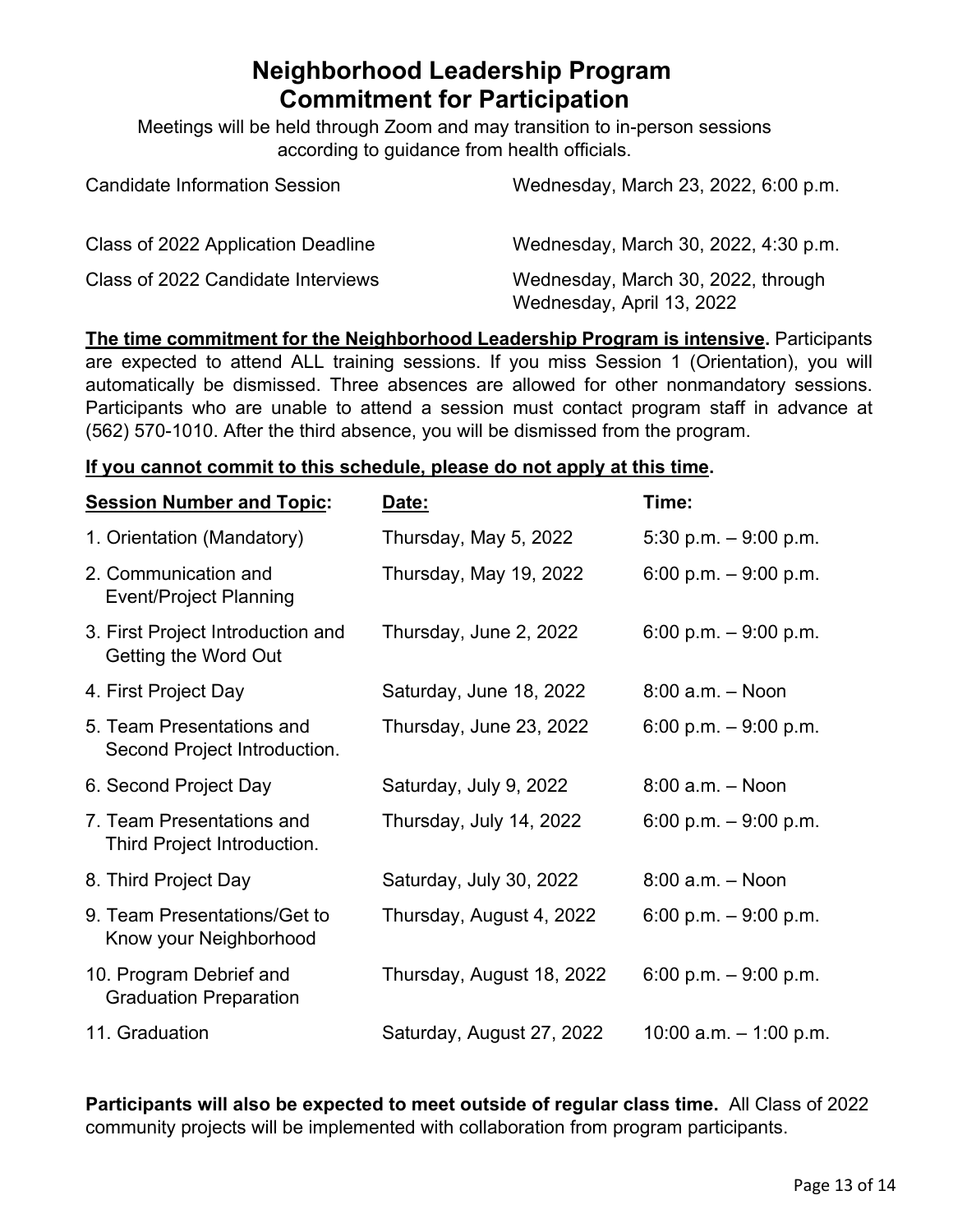## **Neighborhood Leadership Program Commitment for Participation**

Meetings will be held through Zoom and may transition to in-person sessions according to guidance from health officials.

| <b>Candidate Information Session</b> | Wednesday, March 23, 2022, 6:00 p.m.                            |
|--------------------------------------|-----------------------------------------------------------------|
| Class of 2022 Application Deadline   | Wednesday, March 30, 2022, 4:30 p.m.                            |
| Class of 2022 Candidate Interviews   | Wednesday, March 30, 2022, through<br>Wednesday, April 13, 2022 |

**The time commitment for the Neighborhood Leadership Program is intensive.** Participants are expected to attend ALL training sessions. If you miss Session 1 (Orientation), you will automatically be dismissed. Three absences are allowed for other nonmandatory sessions. Participants who are unable to attend a session must contact program staff in advance at (562) 570-1010. After the third absence, you will be dismissed from the program.

#### **If you cannot commit to this schedule, please do not apply at this time.**

| <b>Session Number and Topic:</b>                          | Date:                     | Time:                     |
|-----------------------------------------------------------|---------------------------|---------------------------|
| 1. Orientation (Mandatory)                                | Thursday, May 5, 2022     | 5:30 p.m. $-9:00$ p.m.    |
| 2. Communication and<br><b>Event/Project Planning</b>     | Thursday, May 19, 2022    | 6:00 p.m. $-9:00$ p.m.    |
| 3. First Project Introduction and<br>Getting the Word Out | Thursday, June 2, 2022    | 6:00 p.m. $-9:00$ p.m.    |
| 4. First Project Day                                      | Saturday, June 18, 2022   | $8:00$ a.m. $-$ Noon      |
| 5. Team Presentations and<br>Second Project Introduction. | Thursday, June 23, 2022   | 6:00 p.m. $-9:00$ p.m.    |
| 6. Second Project Day                                     | Saturday, July 9, 2022    | $8:00$ a.m. $-$ Noon      |
| 7. Team Presentations and<br>Third Project Introduction.  | Thursday, July 14, 2022   | 6:00 p.m. $-9:00$ p.m.    |
| 8. Third Project Day                                      | Saturday, July 30, 2022   | $8:00$ a.m. $-$ Noon      |
| 9. Team Presentations/Get to<br>Know your Neighborhood    | Thursday, August 4, 2022  | 6:00 p.m. $-9:00$ p.m.    |
| 10. Program Debrief and<br><b>Graduation Preparation</b>  | Thursday, August 18, 2022 | 6:00 p.m. $-9:00$ p.m.    |
| 11. Graduation                                            | Saturday, August 27, 2022 | $10:00$ a.m. $-1:00$ p.m. |

**Participants will also be expected to meet outside of regular class time.** All Class of 2022 community projects will be implemented with collaboration from program participants.